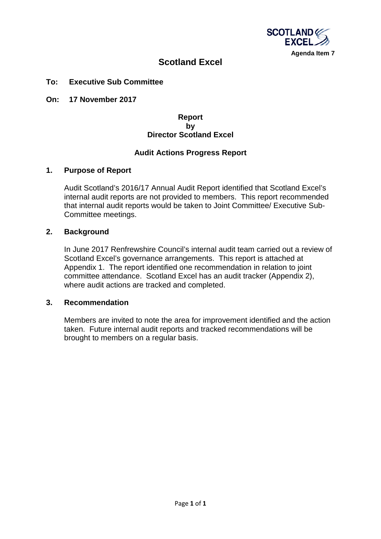

# **Scotland Excel**

#### **To: Executive Sub Committee**

**On: 17 November 2017**

# **Report by Director Scotland Excel**

# **Audit Actions Progress Report**

#### **1. Purpose of Report**

Audit Scotland's 2016/17 Annual Audit Report identified that Scotland Excel's internal audit reports are not provided to members. This report recommended that internal audit reports would be taken to Joint Committee/ Executive Sub-Committee meetings.

#### **2. Background**

In June 2017 Renfrewshire Council's internal audit team carried out a review of Scotland Excel's governance arrangements. This report is attached at Appendix 1. The report identified one recommendation in relation to joint committee attendance. Scotland Excel has an audit tracker (Appendix 2), where audit actions are tracked and completed.

#### **3. Recommendation**

Members are invited to note the area for improvement identified and the action taken. Future internal audit reports and tracked recommendations will be brought to members on a regular basis.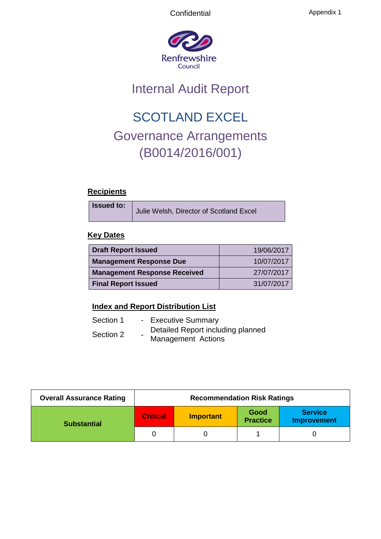

# Internal Audit Report

# SCOTLAND EXCEL Governance Arrangements (B0014/2016/001)

# **Recipients**

**Issued to:**

Julie Welsh, Director of Scotland Excel

# **Key Dates**

| <b>Draft Report Issued</b>          | 19/06/2017 |
|-------------------------------------|------------|
| <b>Management Response Due</b>      | 10/07/2017 |
| <b>Management Response Received</b> | 27/07/2017 |
| <b>Final Report Issued</b>          | 31/07/2017 |

# **Index and Report Distribution List**

| Section 1 |                          | - Executive Summary                                     |
|-----------|--------------------------|---------------------------------------------------------|
| Section 2 | $\overline{\phantom{0}}$ | Detailed Report including planned<br>Management Actions |

| <b>Overall Assurance Rating</b> | <b>Recommendation Risk Ratings</b> |                  |                         |                                      |
|---------------------------------|------------------------------------|------------------|-------------------------|--------------------------------------|
| <b>Substantial</b>              | <b>Critical</b>                    | <b>Important</b> | Good<br><b>Practice</b> | <b>Service</b><br><b>Improvement</b> |
|                                 |                                    |                  |                         |                                      |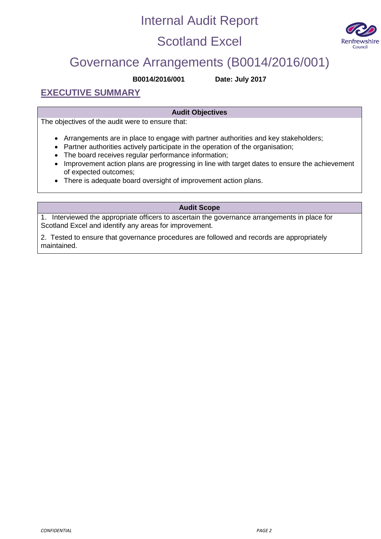# Internal Audit Report

# Scotland Excel



# Governance Arrangements (B0014/2016/001)

**B0014/2016/001 Date: July 2017**

**EXECUTIVE SUMMARY**

# **Audit Objectives**

The objectives of the audit were to ensure that:

- Arrangements are in place to engage with partner authorities and key stakeholders;
- Partner authorities actively participate in the operation of the organisation;
- The board receives regular performance information;
- Improvement action plans are progressing in line with target dates to ensure the achievement of expected outcomes;
- There is adequate board oversight of improvement action plans.

#### **Audit Scope**

1. Interviewed the appropriate officers to ascertain the governance arrangements in place for Scotland Excel and identify any areas for improvement.

2. Tested to ensure that governance procedures are followed and records are appropriately maintained.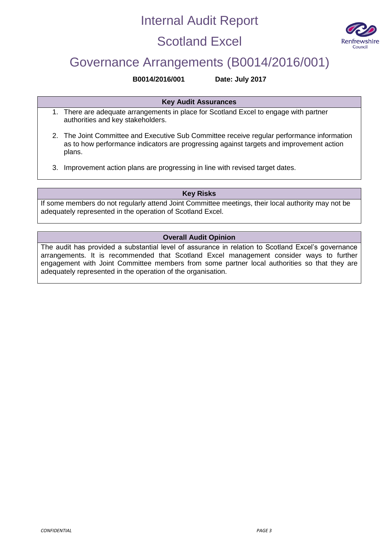# Internal Audit Report

# Scotland Excel



# Governance Arrangements (B0014/2016/001)

#### **B0014/2016/001 Date: July 2017**

**Key Audit Assurances**

- 1. There are adequate arrangements in place for Scotland Excel to engage with partner authorities and key stakeholders.
- 2. The Joint Committee and Executive Sub Committee receive regular performance information as to how performance indicators are progressing against targets and improvement action plans.
- 3. Improvement action plans are progressing in line with revised target dates.

# **Key Risks**

If some members do not regularly attend Joint Committee meetings, their local authority may not be adequately represented in the operation of Scotland Excel.

# **Overall Audit Opinion**

The audit has provided a substantial level of assurance in relation to Scotland Excel's governance arrangements. It is recommended that Scotland Excel management consider ways to further engagement with Joint Committee members from some partner local authorities so that they are adequately represented in the operation of the organisation.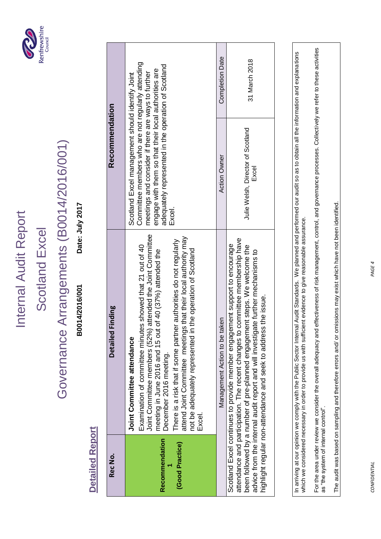# Internal Audit Report Internal Audit Report

# Scotland Excel Scotland Excel



# Governance Arrangements (B0014/2016/001) Governance Arrangements (B0014/2016/001)

Date: July 2017 **B0014/2016/001 Date: July 2017** B0014/2016/001

> **Detailed Report Detailed Report**

| Rec No.                           | Finding<br><b>Detailed</b>                                                                                                                                                                                                                                                                                                                                                                                                                                    | Recommendation                                                                                                                                                                                                                                                                      |                        |
|-----------------------------------|---------------------------------------------------------------------------------------------------------------------------------------------------------------------------------------------------------------------------------------------------------------------------------------------------------------------------------------------------------------------------------------------------------------------------------------------------------------|-------------------------------------------------------------------------------------------------------------------------------------------------------------------------------------------------------------------------------------------------------------------------------------|------------------------|
| Recommendation<br>(Good Practice) | attended the Joint Committee<br>attend Joint Committee meetings that their local authority may<br>There is a risk that if some partner authorities do not regularly<br>Examination of committee minutes showed that 21 out of 40<br>not be adequately represented in the operation of Scotland<br>meeting in June 2016 and 15 out of 40 (37%) attended the<br>Joint Committee members (52%)<br>Joint Committee attendance<br>December 2016 meeting.<br>Excel. | Committee members who are not regularly attending<br>adequately represented in the operation of Scotland<br>engage with them so that their local authorities are<br>meetings and consider if there are ways to further<br>Scotland Excel management should identify Joint<br>Excel. |                        |
|                                   | Management Action to be taken                                                                                                                                                                                                                                                                                                                                                                                                                                 | <b>Action Owner</b>                                                                                                                                                                                                                                                                 | <b>Completion Date</b> |
|                                   | attendance and participation. The recent changes to committee membership have<br>Scotland Excel continues to provide member engagement support to encourage<br>been followed by a number of pre-planned engagement steps. We welcome the<br>advice from the internal audit report and will investigate further mechanisms to<br>highlight regular non-attendance and seek to address the issue.                                                               | Julie Welsh, Director of Scotland<br>Excel                                                                                                                                                                                                                                          | 31 March 2018          |

In arriving at our opinion we comply with the Public Sector Internal Audit Standards. We planned and performed our audit so as to obtain all the information and explanations<br>which we considered necessary in order to provid In arriving at our opinion we comply with the Public Sector Internal Audit Standards. We planned and performed our audit so as to obtain all the information and explanations which we considered necessary in order to provide us with sufficient evidence to give reasonable assurance.

For the area under review we consider the overall adequacy and effectiveness of risk management, control, and governance processes. Collectively we refer to these activities<br>as "the system of internal control". For the area under review we consider the overall adequacy and effectiveness of risk management, control, and governance processes. Collectively we refer to these activities as "the system of internal control".

The audit was based on sampling and therefore errors and/ or omissions may exist which have not been identified. The audit was based on sampling and therefore errors and/ or omissions may exist which have not been identified.